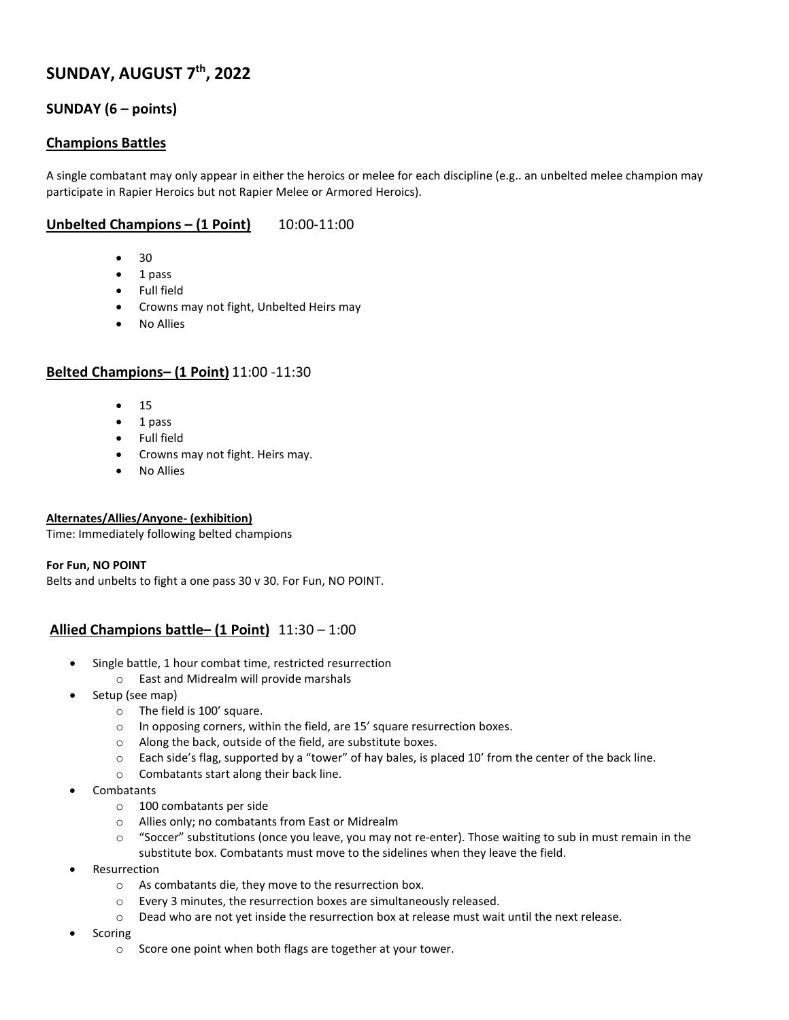# **SUNDAY, AUGUST 7th, 2022**

## **SUNDAY (6 – points)**

## **Champions Battles**

A single combatant may only appear in either the heroics or melee for each discipline (e.g.. an unbelted melee champion may participate in Rapier Heroics but not Rapier Melee or Armored Heroics).

## **Unbelted Champions – (1 Point)** 10:00-11:00

- 30
- 1 pass
- Full field
- Crowns may not fight, Unbelted Heirs may
- No Allies

## **Belted Champions– (1 Point)** 11:00 -11:30

- 15
- 1 pass
- Full field
- Crowns may not fight. Heirs may.
- No Allies

#### **Alternates/Allies/Anyone- (exhibition)**

Time: Immediately following belted champions

#### **For Fun, NO POINT**

Belts and unbelts to fight a one pass 30 v 30. For Fun, NO POINT.

## **Allied Champions battle– (1 Point)** 11:30 – 1:00

- Single battle, 1 hour combat time, restricted resurrection
	- o East and Midrealm will provide marshals
- Setup (see map)
	- o The field is 100' square.
	- o In opposing corners, within the field, are 15' square resurrection boxes.
	- o Along the back, outside of the field, are substitute boxes.
	- o Each side's flag, supported by a "tower" of hay bales, is placed 10' from the center of the back line.
	- o Combatants start along their back line.
- Combatants
	- o 100 combatants per side
	- o Allies only; no combatants from East or Midrealm
	- o "Soccer" substitutions (once you leave, you may not re-enter). Those waiting to sub in must remain in the substitute box. Combatants must move to the sidelines when they leave the field.
- **Resurrection** 
	- o As combatants die, they move to the resurrection box.
	- o Every 3 minutes, the resurrection boxes are simultaneously released.
	- o Dead who are not yet inside the resurrection box at release must wait until the next release.
- **Scoring** 
	- o Score one point when both flags are together at your tower.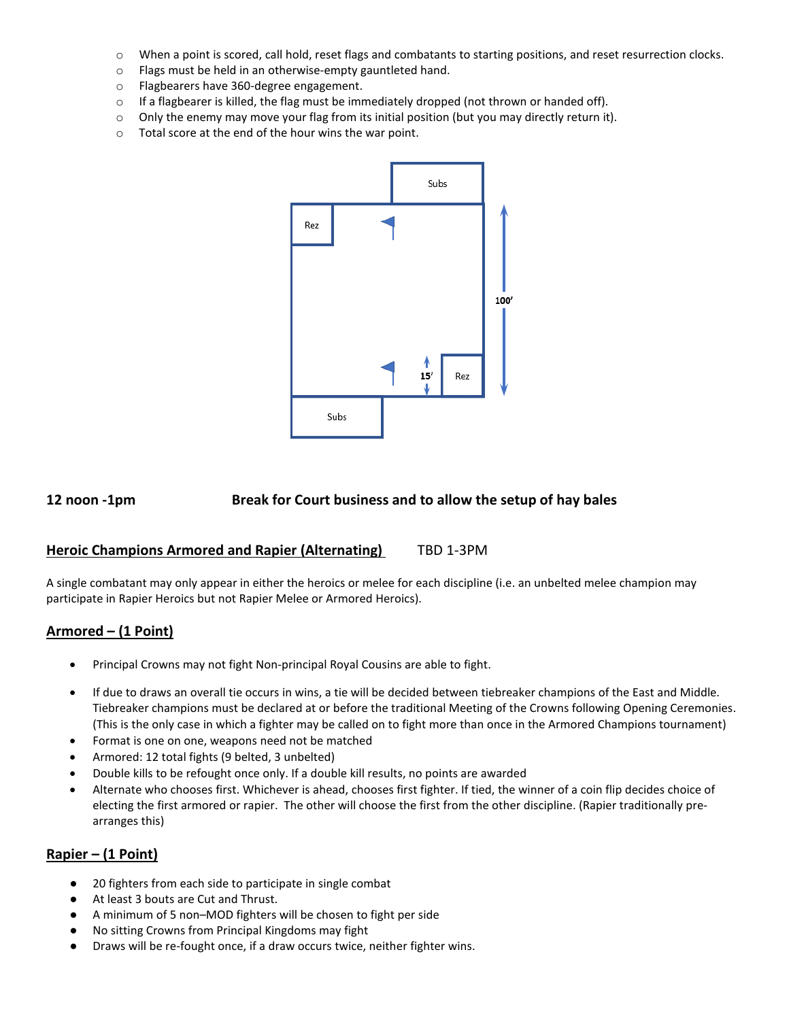- o When a point is scored, call hold, reset flags and combatants to starting positions, and reset resurrection clocks.
- o Flags must be held in an otherwise-empty gauntleted hand.
- o Flagbearers have 360-degree engagement.
- $\circ$  If a flagbearer is killed, the flag must be immediately dropped (not thrown or handed off).
- $\circ$  Only the enemy may move your flag from its initial position (but you may directly return it).
- o Total score at the end of the hour wins the war point.



## **12 noon -1pm Break for Court business and to allow the setup of hay bales**

#### **Heroic Champions Armored and Rapier (Alternating)** TBD 1-3PM

A single combatant may only appear in either the heroics or melee for each discipline (i.e. an unbelted melee champion may participate in Rapier Heroics but not Rapier Melee or Armored Heroics).

## **Armored – (1 Point)**

- Principal Crowns may not fight Non-principal Royal Cousins are able to fight.
- If due to draws an overall tie occurs in wins, a tie will be decided between tiebreaker champions of the East and Middle. Tiebreaker champions must be declared at or before the traditional Meeting of the Crowns following Opening Ceremonies. (This is the only case in which a fighter may be called on to fight more than once in the Armored Champions tournament)
- Format is one on one, weapons need not be matched
- Armored: 12 total fights (9 belted, 3 unbelted)
- Double kills to be refought once only. If a double kill results, no points are awarded
- Alternate who chooses first. Whichever is ahead, chooses first fighter. If tied, the winner of a coin flip decides choice of electing the first armored or rapier. The other will choose the first from the other discipline. (Rapier traditionally prearranges this)

## **Rapier – (1 Point)**

- 20 fighters from each side to participate in single combat
- At least 3 bouts are Cut and Thrust.
- A minimum of 5 non–MOD fighters will be chosen to fight per side
- No sitting Crowns from Principal Kingdoms may fight
- Draws will be re-fought once, if a draw occurs twice, neither fighter wins.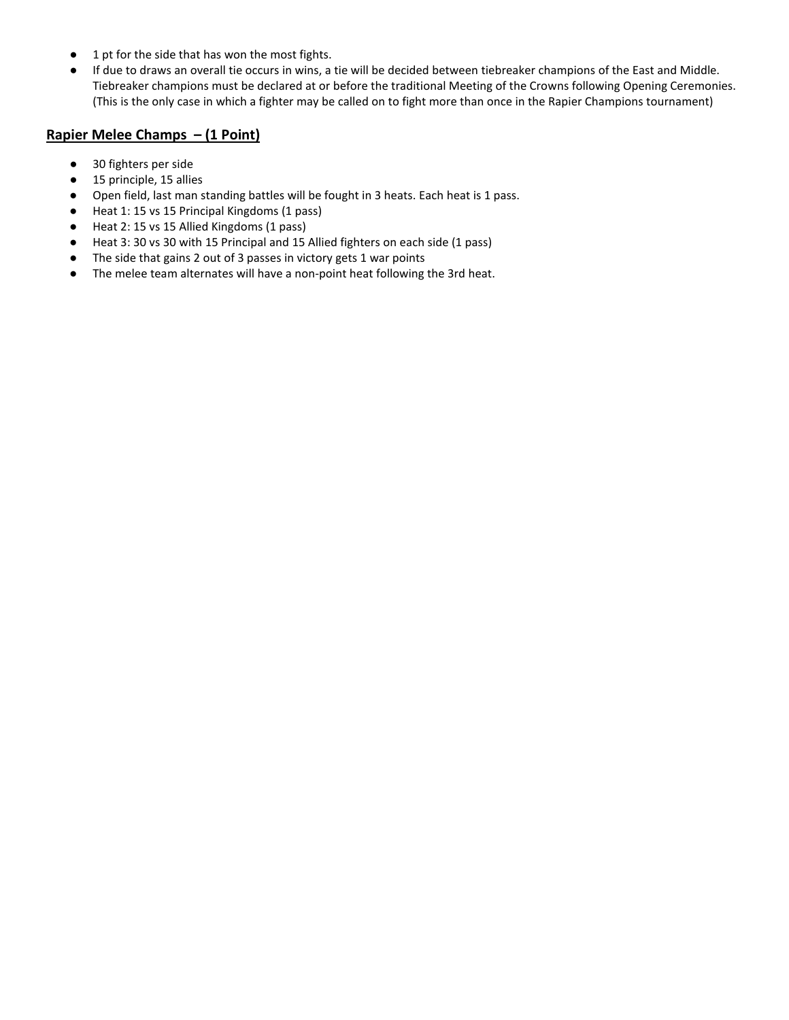- 1 pt for the side that has won the most fights.
- If due to draws an overall tie occurs in wins, a tie will be decided between tiebreaker champions of the East and Middle. Tiebreaker champions must be declared at or before the traditional Meeting of the Crowns following Opening Ceremonies. (This is the only case in which a fighter may be called on to fight more than once in the Rapier Champions tournament)

## **Rapier Melee Champs – (1 Point)**

- 30 fighters per side
- 15 principle, 15 allies
- Open field, last man standing battles will be fought in 3 heats. Each heat is 1 pass.
- Heat 1: 15 vs 15 Principal Kingdoms (1 pass)
- Heat 2: 15 vs 15 Allied Kingdoms (1 pass)
- Heat 3: 30 vs 30 with 15 Principal and 15 Allied fighters on each side (1 pass)
- The side that gains 2 out of 3 passes in victory gets 1 war points
- The melee team alternates will have a non-point heat following the 3rd heat.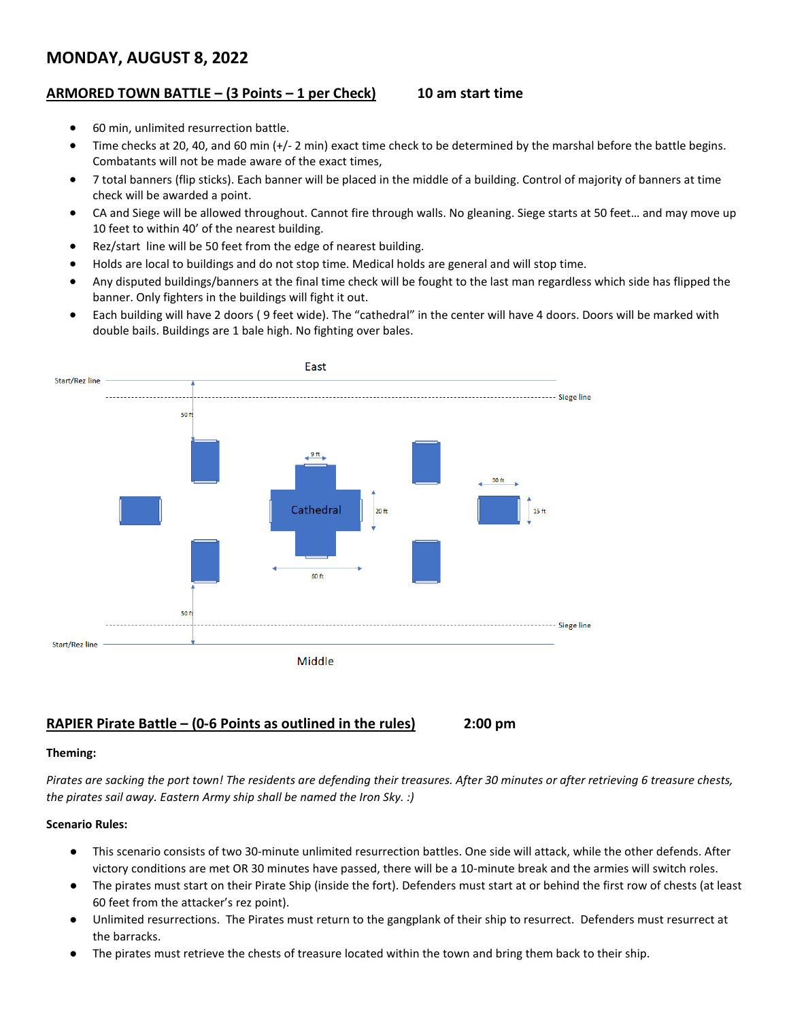# **MONDAY, AUGUST 8, 2022**

## **ARMORED TOWN BATTLE – (3 Points – 1 per Check) 10 am start time**

- 60 min, unlimited resurrection battle.
- Time checks at 20, 40, and 60 min (+/- 2 min) exact time check to be determined by the marshal before the battle begins. Combatants will not be made aware of the exact times,
- 7 total banners (flip sticks). Each banner will be placed in the middle of a building. Control of majority of banners at time check will be awarded a point.
- CA and Siege will be allowed throughout. Cannot fire through walls. No gleaning. Siege starts at 50 feet… and may move up 10 feet to within 40' of the nearest building.
- Rez/start line will be 50 feet from the edge of nearest building.
- Holds are local to buildings and do not stop time. Medical holds are general and will stop time.
- Any disputed buildings/banners at the final time check will be fought to the last man regardless which side has flipped the banner. Only fighters in the buildings will fight it out.
- Each building will have 2 doors ( 9 feet wide). The "cathedral" in the center will have 4 doors. Doors will be marked with double bails. Buildings are 1 bale high. No fighting over bales.



## **RAPIER Pirate Battle – (0-6 Points as outlined in the rules) 2:00 pm**

#### **Theming:**

*Pirates are sacking the port town! The residents are defending their treasures. After 30 minutes or after retrieving 6 treasure chests, the pirates sail away. Eastern Army ship shall be named the Iron Sky. :)*

#### **Scenario Rules:**

- This scenario consists of two 30-minute unlimited resurrection battles. One side will attack, while the other defends. After victory conditions are met OR 30 minutes have passed, there will be a 10-minute break and the armies will switch roles.
- The pirates must start on their Pirate Ship (inside the fort). Defenders must start at or behind the first row of chests (at least 60 feet from the attacker's rez point).
- Unlimited resurrections. The Pirates must return to the gangplank of their ship to resurrect. Defenders must resurrect at the barracks.
- The pirates must retrieve the chests of treasure located within the town and bring them back to their ship.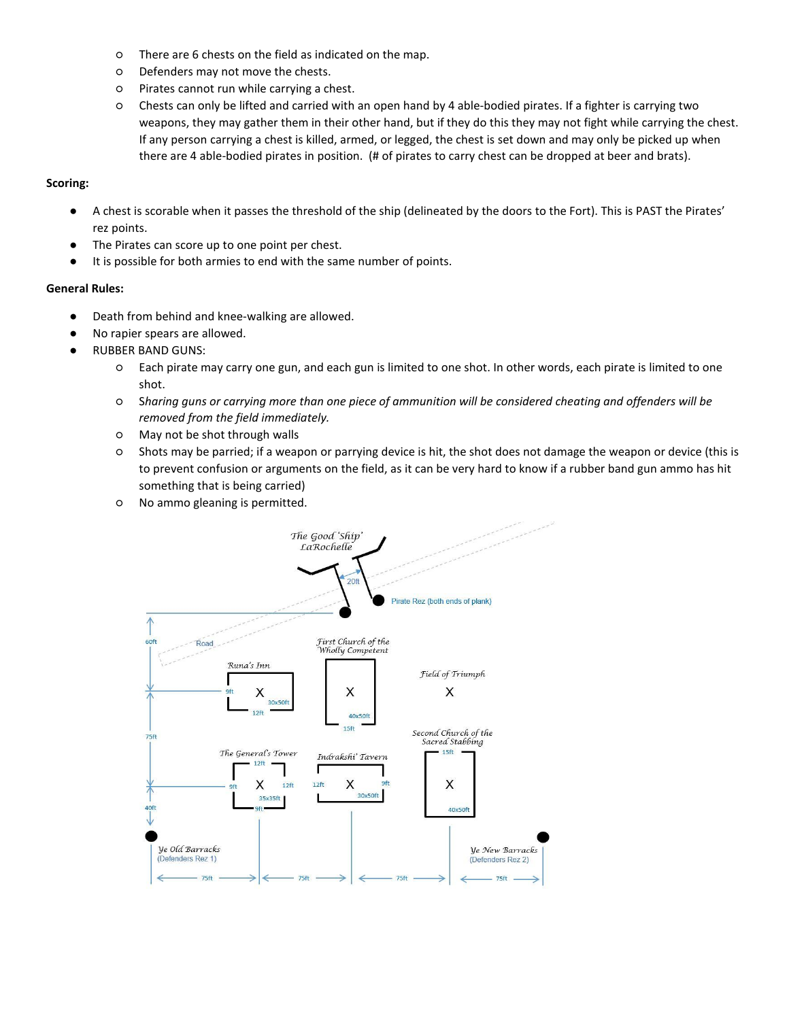- There are 6 chests on the field as indicated on the map.
- Defenders may not move the chests.
- Pirates cannot run while carrying a chest.
- Chests can only be lifted and carried with an open hand by 4 able-bodied pirates. If a fighter is carrying two weapons, they may gather them in their other hand, but if they do this they may not fight while carrying the chest. If any person carrying a chest is killed, armed, or legged, the chest is set down and may only be picked up when there are 4 able-bodied pirates in position. (# of pirates to carry chest can be dropped at beer and brats).

#### **Scoring:**

- A chest is scorable when it passes the threshold of the ship (delineated by the doors to the Fort). This is PAST the Pirates' rez points.
- The Pirates can score up to one point per chest.
- It is possible for both armies to end with the same number of points.

#### **General Rules:**

- Death from behind and knee-walking are allowed.
- No rapier spears are allowed.
- **RUBBER BAND GUNS:** 
	- Each pirate may carry one gun, and each gun is limited to one shot. In other words, each pirate is limited to one shot.
	- S*haring guns or carrying more than one piece of ammunition will be considered cheating and offenders will be removed from the field immediately.*
	- May not be shot through walls
	- Shots may be parried; if a weapon or parrying device is hit, the shot does not damage the weapon or device (this is to prevent confusion or arguments on the field, as it can be very hard to know if a rubber band gun ammo has hit something that is being carried)
	- No ammo gleaning is permitted.

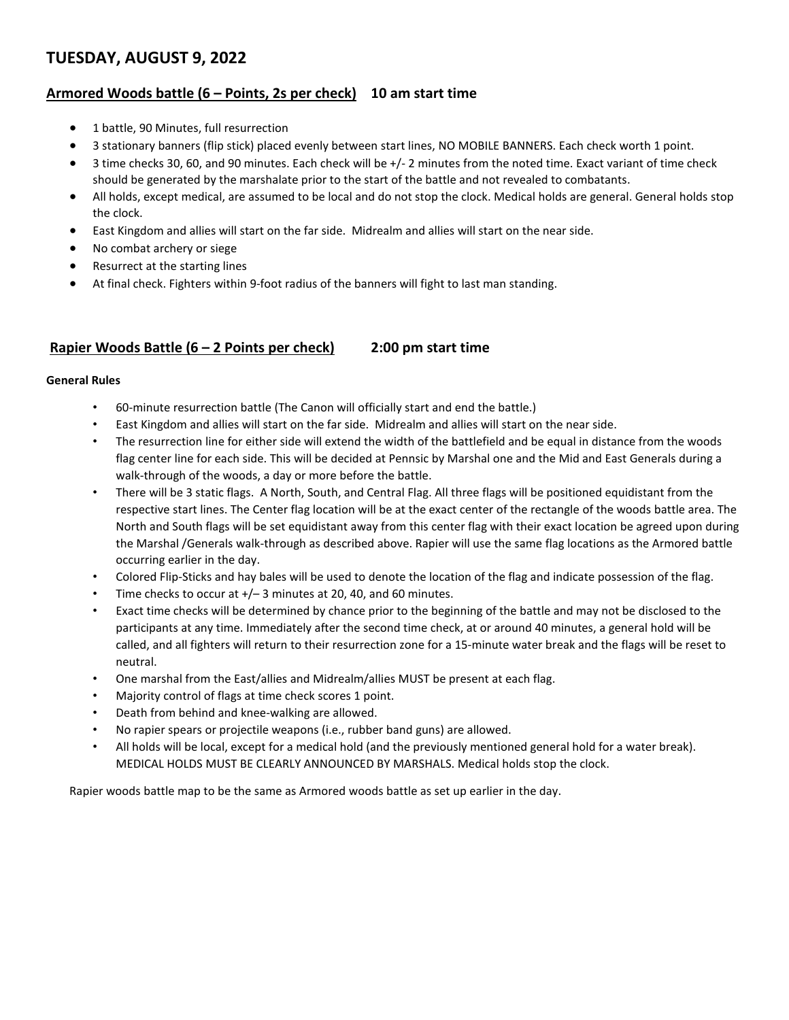# **TUESDAY, AUGUST 9, 2022**

## **Armored Woods battle (6 – Points, 2s per check) 10 am start time**

- 1 battle, 90 Minutes, full resurrection
- 3 stationary banners (flip stick) placed evenly between start lines, NO MOBILE BANNERS. Each check worth 1 point.
- 3 time checks 30, 60, and 90 minutes. Each check will be +/- 2 minutes from the noted time. Exact variant of time check should be generated by the marshalate prior to the start of the battle and not revealed to combatants.
- All holds, except medical, are assumed to be local and do not stop the clock. Medical holds are general. General holds stop the clock.
- East Kingdom and allies will start on the far side. Midrealm and allies will start on the near side.
- No combat archery or siege
- Resurrect at the starting lines
- At final check. Fighters within 9-foot radius of the banners will fight to last man standing.

## **Rapier Woods Battle (6 – 2 Points per check) 2:00 pm start time**

#### **General Rules**

- 60-minute resurrection battle (The Canon will officially start and end the battle.)
- East Kingdom and allies will start on the far side. Midrealm and allies will start on the near side.
- The resurrection line for either side will extend the width of the battlefield and be equal in distance from the woods flag center line for each side. This will be decided at Pennsic by Marshal one and the Mid and East Generals during a walk-through of the woods, a day or more before the battle.
- There will be 3 static flags. A North, South, and Central Flag. All three flags will be positioned equidistant from the respective start lines. The Center flag location will be at the exact center of the rectangle of the woods battle area. The North and South flags will be set equidistant away from this center flag with their exact location be agreed upon during the Marshal /Generals walk-through as described above. Rapier will use the same flag locations as the Armored battle occurring earlier in the day.
- Colored Flip-Sticks and hay bales will be used to denote the location of the flag and indicate possession of the flag.
- Time checks to occur at  $+/- 3$  minutes at 20, 40, and 60 minutes.
- Exact time checks will be determined by chance prior to the beginning of the battle and may not be disclosed to the participants at any time. Immediately after the second time check, at or around 40 minutes, a general hold will be called, and all fighters will return to their resurrection zone for a 15-minute water break and the flags will be reset to neutral.
- One marshal from the East/allies and Midrealm/allies MUST be present at each flag.
- Majority control of flags at time check scores 1 point.
- Death from behind and knee-walking are allowed.
- No rapier spears or projectile weapons (i.e., rubber band guns) are allowed.
- All holds will be local, except for a medical hold (and the previously mentioned general hold for a water break). MEDICAL HOLDS MUST BE CLEARLY ANNOUNCED BY MARSHALS. Medical holds stop the clock.

Rapier woods battle map to be the same as Armored woods battle as set up earlier in the day.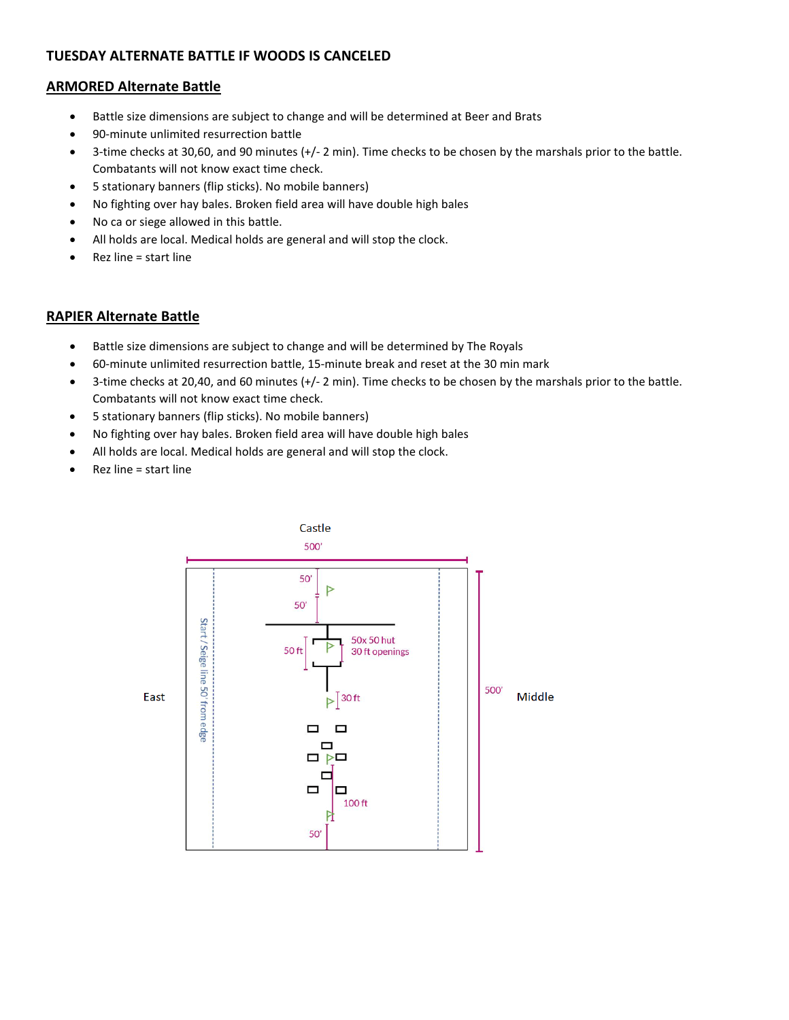## **TUESDAY ALTERNATE BATTLE IF WOODS IS CANCELED**

## **ARMORED Alternate Battle**

- Battle size dimensions are subject to change and will be determined at Beer and Brats
- 90-minute unlimited resurrection battle
- 3-time checks at 30,60, and 90 minutes (+/- 2 min). Time checks to be chosen by the marshals prior to the battle. Combatants will not know exact time check.
- 5 stationary banners (flip sticks). No mobile banners)
- No fighting over hay bales. Broken field area will have double high bales
- No ca or siege allowed in this battle.
- All holds are local. Medical holds are general and will stop the clock.
- Rez line = start line

## **RAPIER Alternate Battle**

- Battle size dimensions are subject to change and will be determined by The Royals
- 60-minute unlimited resurrection battle, 15-minute break and reset at the 30 min mark
- 3-time checks at 20,40, and 60 minutes (+/- 2 min). Time checks to be chosen by the marshals prior to the battle. Combatants will not know exact time check.
- 5 stationary banners (flip sticks). No mobile banners)
- No fighting over hay bales. Broken field area will have double high bales
- All holds are local. Medical holds are general and will stop the clock.
- Rez line = start line

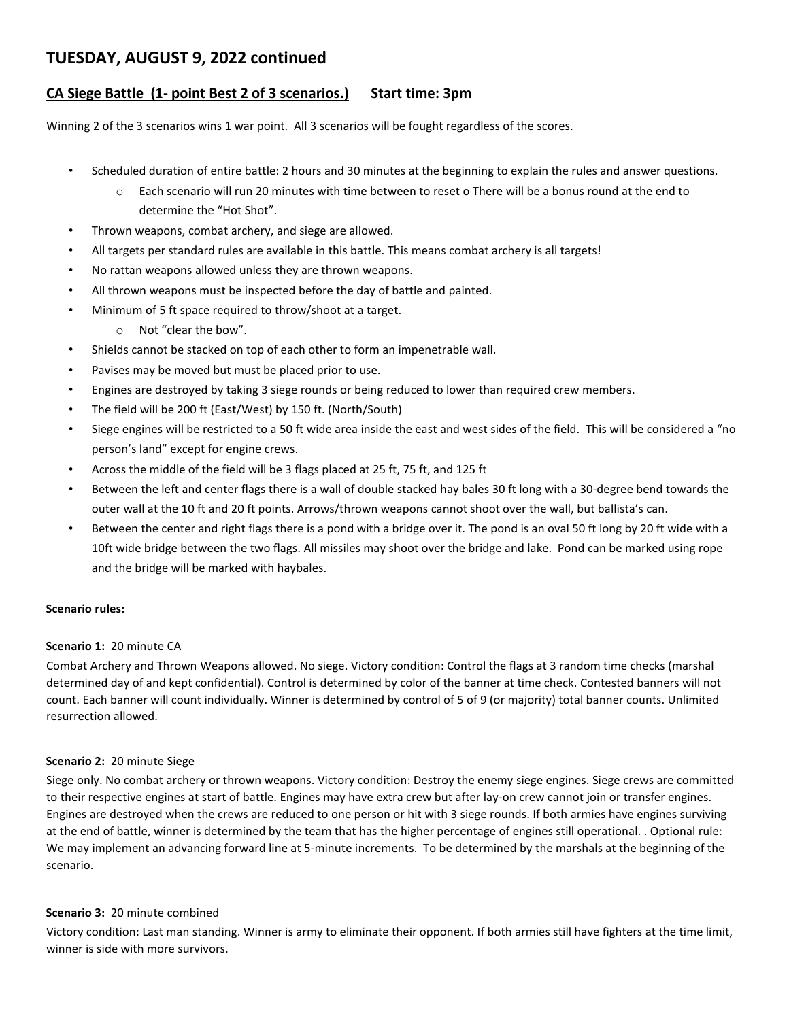## **TUESDAY, AUGUST 9, 2022 continued**

## **CA Siege Battle (1- point Best 2 of 3 scenarios.) Start time: 3pm**

Winning 2 of the 3 scenarios wins 1 war point. All 3 scenarios will be fought regardless of the scores.

- Scheduled duration of entire battle: 2 hours and 30 minutes at the beginning to explain the rules and answer questions.
	- o Each scenario will run 20 minutes with time between to reset o There will be a bonus round at the end to determine the "Hot Shot".
- Thrown weapons, combat archery, and siege are allowed.
- All targets per standard rules are available in this battle. This means combat archery is all targets!
- No rattan weapons allowed unless they are thrown weapons.
- All thrown weapons must be inspected before the day of battle and painted.
- Minimum of 5 ft space required to throw/shoot at a target.
	- o Not "clear the bow".
- Shields cannot be stacked on top of each other to form an impenetrable wall.
- Pavises may be moved but must be placed prior to use.
- Engines are destroyed by taking 3 siege rounds or being reduced to lower than required crew members.
- The field will be 200 ft (East/West) by 150 ft. (North/South)
- Siege engines will be restricted to a 50 ft wide area inside the east and west sides of the field. This will be considered a "no person's land" except for engine crews.
- Across the middle of the field will be 3 flags placed at 25 ft, 75 ft, and 125 ft
- Between the left and center flags there is a wall of double stacked hay bales 30 ft long with a 30-degree bend towards the outer wall at the 10 ft and 20 ft points. Arrows/thrown weapons cannot shoot over the wall, but ballista's can.
- Between the center and right flags there is a pond with a bridge over it. The pond is an oval 50 ft long by 20 ft wide with a 10ft wide bridge between the two flags. All missiles may shoot over the bridge and lake. Pond can be marked using rope and the bridge will be marked with haybales.

#### **Scenario rules:**

#### **Scenario 1:** 20 minute CA

Combat Archery and Thrown Weapons allowed. No siege. Victory condition: Control the flags at 3 random time checks (marshal determined day of and kept confidential). Control is determined by color of the banner at time check. Contested banners will not count. Each banner will count individually. Winner is determined by control of 5 of 9 (or majority) total banner counts. Unlimited resurrection allowed.

#### **Scenario 2:** 20 minute Siege

Siege only. No combat archery or thrown weapons. Victory condition: Destroy the enemy siege engines. Siege crews are committed to their respective engines at start of battle. Engines may have extra crew but after lay-on crew cannot join or transfer engines. Engines are destroyed when the crews are reduced to one person or hit with 3 siege rounds. If both armies have engines surviving at the end of battle, winner is determined by the team that has the higher percentage of engines still operational. . Optional rule: We may implement an advancing forward line at 5-minute increments. To be determined by the marshals at the beginning of the scenario.

#### **Scenario 3:** 20 minute combined

Victory condition: Last man standing. Winner is army to eliminate their opponent. If both armies still have fighters at the time limit, winner is side with more survivors.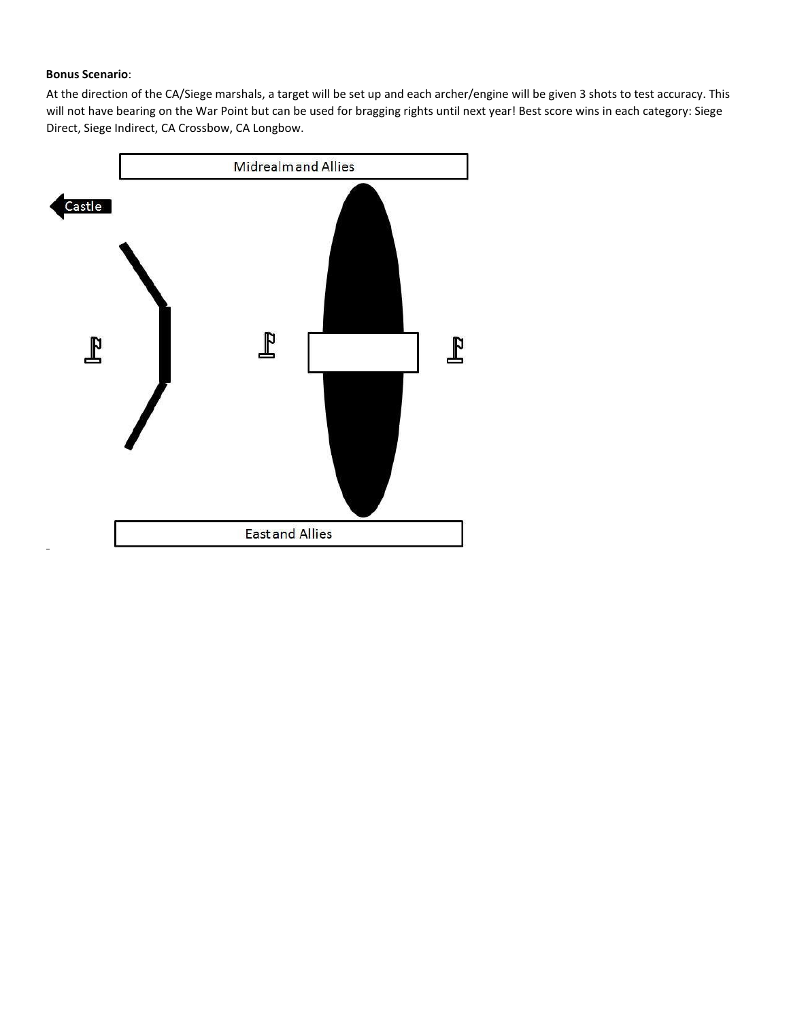#### **Bonus Scenario**:

At the direction of the CA/Siege marshals, a target will be set up and each archer/engine will be given 3 shots to test accuracy. This will not have bearing on the War Point but can be used for bragging rights until next year! Best score wins in each category: Siege Direct, Siege Indirect, CA Crossbow, CA Longbow.

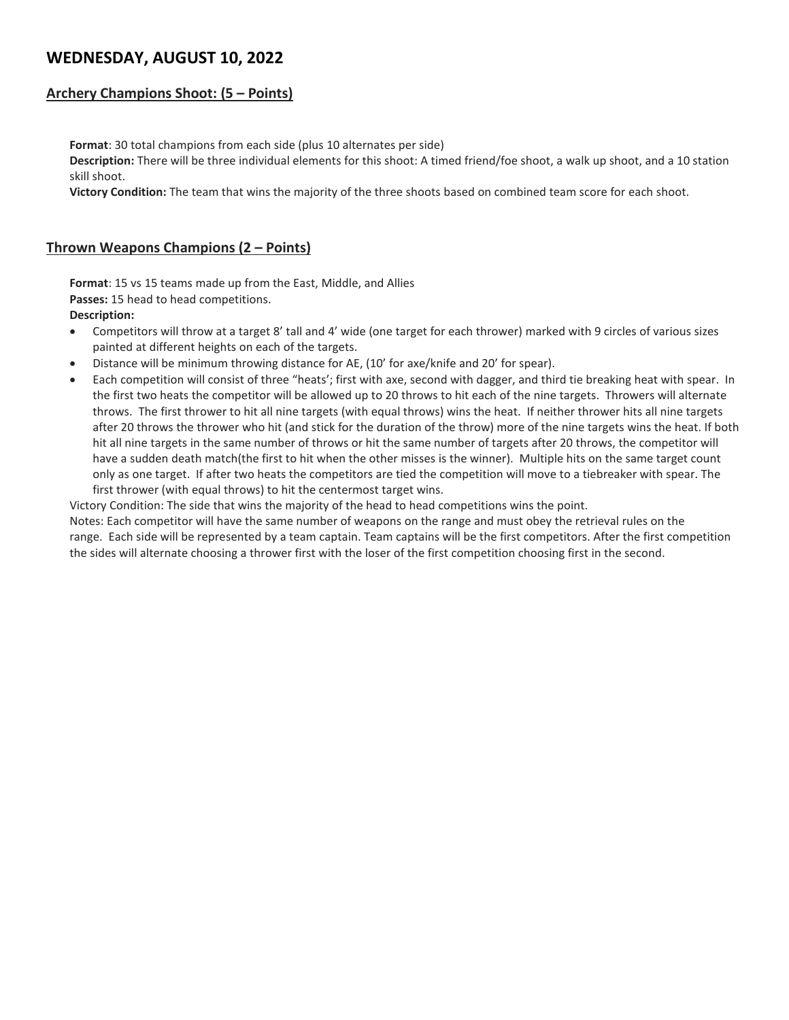# **WEDNESDAY, AUGUST 10, 2022**

## **Archery Champions Shoot: (5 – Points)**

**Format**: 30 total champions from each side (plus 10 alternates per side)

**Description:** There will be three individual elements for this shoot: A timed friend/foe shoot, a walk up shoot, and a 10 station skill shoot.

**Victory Condition:** The team that wins the majority of the three shoots based on combined team score for each shoot.

## **Thrown Weapons Champions (2 – Points)**

**Format**: 15 vs 15 teams made up from the East, Middle, and Allies **Passes:** 15 head to head competitions.

#### **Description:**

- Competitors will throw at a target 8' tall and 4' wide (one target for each thrower) marked with 9 circles of various sizes painted at different heights on each of the targets.
- Distance will be minimum throwing distance for AE, (10' for axe/knife and 20' for spear).
- Each competition will consist of three "heats'; first with axe, second with dagger, and third tie breaking heat with spear. In the first two heats the competitor will be allowed up to 20 throws to hit each of the nine targets. Throwers will alternate throws. The first thrower to hit all nine targets (with equal throws) wins the heat. If neither thrower hits all nine targets after 20 throws the thrower who hit (and stick for the duration of the throw) more of the nine targets wins the heat. If both hit all nine targets in the same number of throws or hit the same number of targets after 20 throws, the competitor will have a sudden death match(the first to hit when the other misses is the winner). Multiple hits on the same target count only as one target. If after two heats the competitors are tied the competition will move to a tiebreaker with spear. The first thrower (with equal throws) to hit the centermost target wins.

Victory Condition: The side that wins the majority of the head to head competitions wins the point.

Notes: Each competitor will have the same number of weapons on the range and must obey the retrieval rules on the range. Each side will be represented by a team captain. Team captains will be the first competitors. After the first competition the sides will alternate choosing a thrower first with the loser of the first competition choosing first in the second.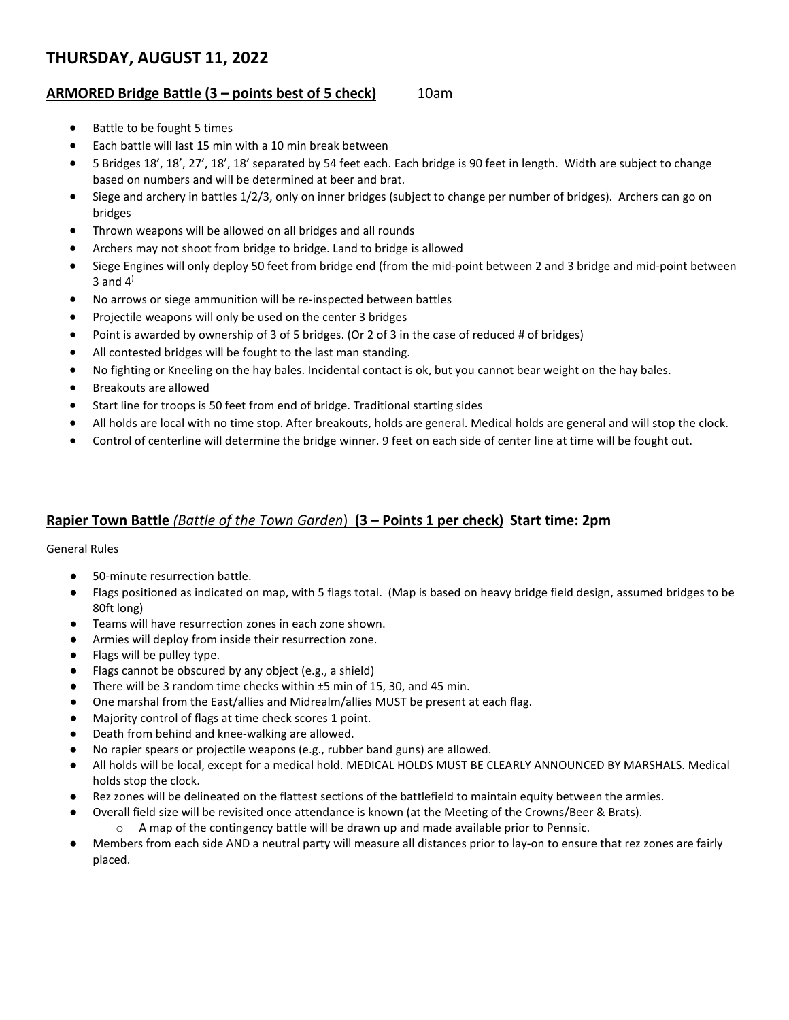# **THURSDAY, AUGUST 11, 2022**

## **ARMORED Bridge Battle (3 – points best of 5 check)** 10am

- Battle to be fought 5 times
- Each battle will last 15 min with a 10 min break between
- 5 Bridges 18', 18', 27', 18', 18' separated by 54 feet each. Each bridge is 90 feet in length. Width are subject to change based on numbers and will be determined at beer and brat.
- Siege and archery in battles 1/2/3, only on inner bridges (subject to change per number of bridges). Archers can go on bridges
- Thrown weapons will be allowed on all bridges and all rounds
- Archers may not shoot from bridge to bridge. Land to bridge is allowed
- Siege Engines will only deploy 50 feet from bridge end (from the mid-point between 2 and 3 bridge and mid-point between 3 and  $4<sup>3</sup>$
- No arrows or siege ammunition will be re-inspected between battles
- Projectile weapons will only be used on the center 3 bridges
- Point is awarded by ownership of 3 of 5 bridges. (Or 2 of 3 in the case of reduced # of bridges)
- All contested bridges will be fought to the last man standing.
- No fighting or Kneeling on the hay bales. Incidental contact is ok, but you cannot bear weight on the hay bales.
- Breakouts are allowed
- Start line for troops is 50 feet from end of bridge. Traditional starting sides
- All holds are local with no time stop. After breakouts, holds are general. Medical holds are general and will stop the clock.
- Control of centerline will determine the bridge winner. 9 feet on each side of center line at time will be fought out.

## **Rapier Town Battle** *(Battle of the Town Garden*) **(3 – Points 1 per check) Start time: 2pm**

General Rules

- 50-minute resurrection battle.
- Flags positioned as indicated on map, with 5 flags total. (Map is based on heavy bridge field design, assumed bridges to be 80ft long)
- Teams will have resurrection zones in each zone shown.
- Armies will deploy from inside their resurrection zone.
- Flags will be pulley type.
- Flags cannot be obscured by any object (e.g., a shield)
- There will be 3 random time checks within  $±5$  min of 15, 30, and 45 min.
- One marshal from the East/allies and Midrealm/allies MUST be present at each flag.
- Majority control of flags at time check scores 1 point.
- Death from behind and knee-walking are allowed.
- No rapier spears or projectile weapons (e.g., rubber band guns) are allowed.
- All holds will be local, except for a medical hold. MEDICAL HOLDS MUST BE CLEARLY ANNOUNCED BY MARSHALS. Medical holds stop the clock.
- Rez zones will be delineated on the flattest sections of the battlefield to maintain equity between the armies.
- Overall field size will be revisited once attendance is known (at the Meeting of the Crowns/Beer & Brats).
	- o A map of the contingency battle will be drawn up and made available prior to Pennsic.
- Members from each side AND a neutral party will measure all distances prior to lay-on to ensure that rez zones are fairly placed.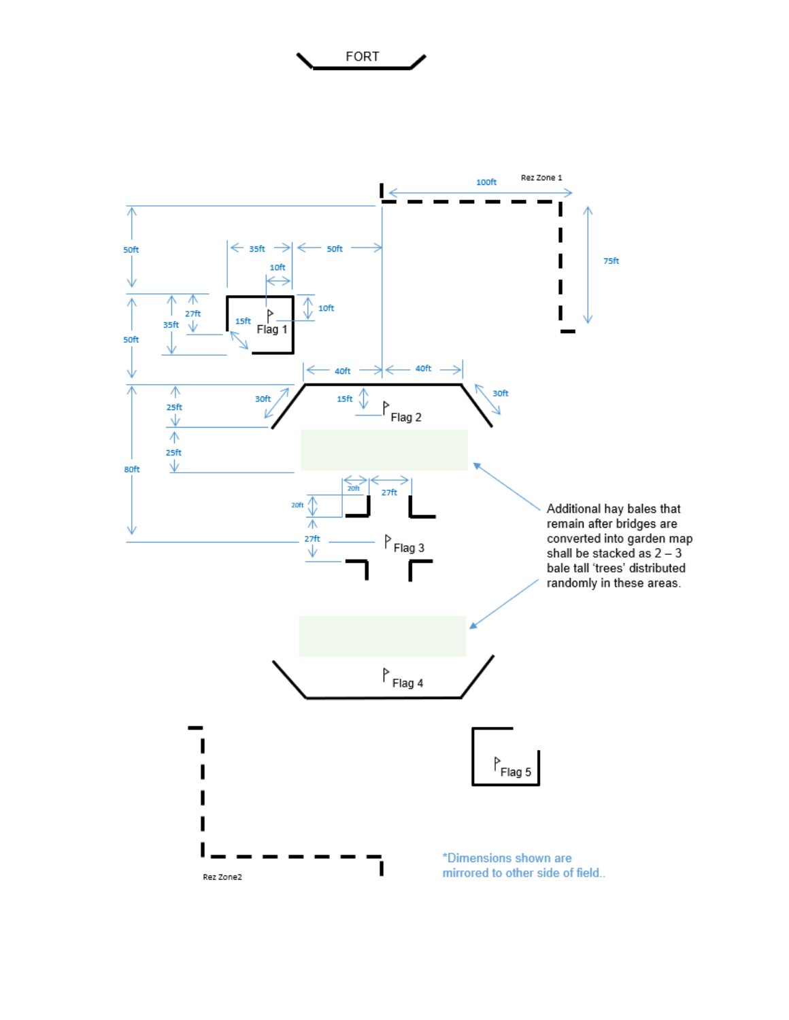

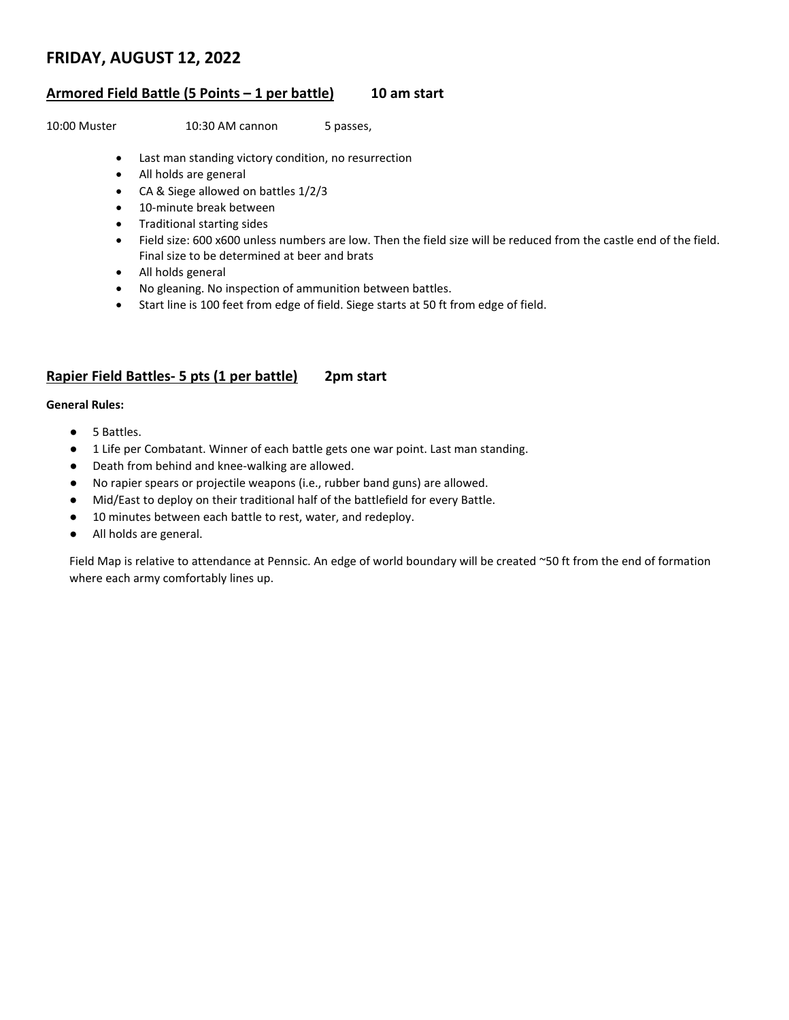## **FRIDAY, AUGUST 12, 2022**

#### **Armored Field Battle (5 Points – 1 per battle) 10 am start**

10:00 Muster 10:30 AM cannon 5 passes,

- Last man standing victory condition, no resurrection
- All holds are general
- CA & Siege allowed on battles 1/2/3
- 10-minute break between
- Traditional starting sides
- Field size: 600 x600 unless numbers are low. Then the field size will be reduced from the castle end of the field. Final size to be determined at beer and brats
- All holds general
- No gleaning. No inspection of ammunition between battles.
- Start line is 100 feet from edge of field. Siege starts at 50 ft from edge of field.

## **Rapier Field Battles- 5 pts (1 per battle) 2pm start**

#### **General Rules:**

- 5 Battles.
- 1 Life per Combatant. Winner of each battle gets one war point. Last man standing.
- Death from behind and knee-walking are allowed.
- No rapier spears or projectile weapons (i.e., rubber band guns) are allowed.
- Mid/East to deploy on their traditional half of the battlefield for every Battle.
- 10 minutes between each battle to rest, water, and redeploy.
- All holds are general.

Field Map is relative to attendance at Pennsic. An edge of world boundary will be created ~50 ft from the end of formation where each army comfortably lines up.